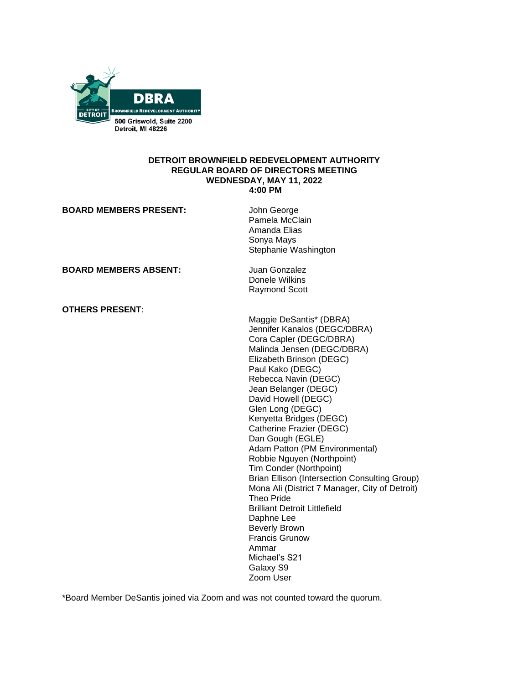

### **DETROIT BROWNFIELD REDEVELOPMENT AUTHORITY REGULAR BOARD OF DIRECTORS MEETING WEDNESDAY, MAY 11, 2022 4:00 PM**

| <b>BOARD MEMBERS PRESENT:</b> | John George<br>Pamela McClain<br>Amanda Elias<br>Sonya Mays<br>Stephanie Washington                                                                                                                                                                                                                                                                                                                                                                                                                                                                                                                                                                                                                           |
|-------------------------------|---------------------------------------------------------------------------------------------------------------------------------------------------------------------------------------------------------------------------------------------------------------------------------------------------------------------------------------------------------------------------------------------------------------------------------------------------------------------------------------------------------------------------------------------------------------------------------------------------------------------------------------------------------------------------------------------------------------|
| <b>BOARD MEMBERS ABSENT:</b>  | Juan Gonzalez<br>Donele Wilkins<br><b>Raymond Scott</b>                                                                                                                                                                                                                                                                                                                                                                                                                                                                                                                                                                                                                                                       |
| <b>OTHERS PRESENT:</b>        | Maggie DeSantis* (DBRA)<br>Jennifer Kanalos (DEGC/DBRA)<br>Cora Capler (DEGC/DBRA)<br>Malinda Jensen (DEGC/DBRA)<br>Elizabeth Brinson (DEGC)<br>Paul Kako (DEGC)<br>Rebecca Navin (DEGC)<br>Jean Belanger (DEGC)<br>David Howell (DEGC)<br>Glen Long (DEGC)<br>Kenyetta Bridges (DEGC)<br>Catherine Frazier (DEGC)<br>Dan Gough (EGLE)<br>Adam Patton (PM Environmental)<br>Robbie Nguyen (Northpoint)<br>Tim Conder (Northpoint)<br>Brian Ellison (Intersection Consulting Group)<br>Mona Ali (District 7 Manager, City of Detroit)<br>Theo Pride<br><b>Brilliant Detroit Littlefield</b><br>Daphne Lee<br><b>Beverly Brown</b><br><b>Francis Grunow</b><br>Ammar<br>Michael's S21<br>Galaxy S9<br>Zoom User |

\*Board Member DeSantis joined via Zoom and was not counted toward the quorum.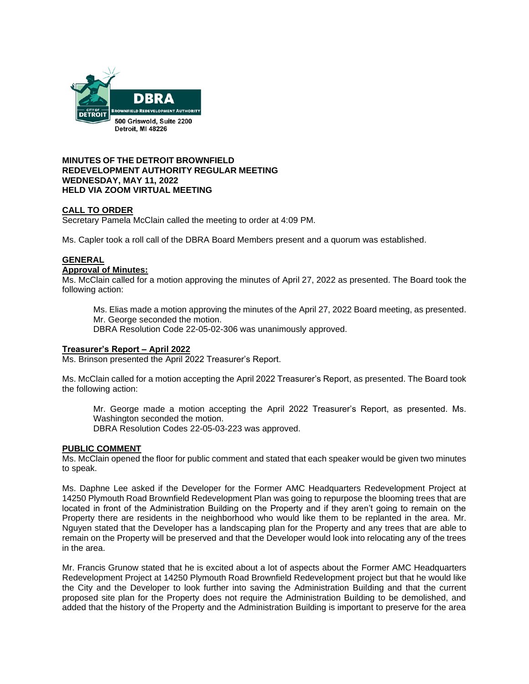

# **MINUTES OF THE DETROIT BROWNFIELD REDEVELOPMENT AUTHORITY REGULAR MEETING WEDNESDAY, MAY 11, 2022 HELD VIA ZOOM VIRTUAL MEETING**

# **CALL TO ORDER**

Secretary Pamela McClain called the meeting to order at 4:09 PM.

Ms. Capler took a roll call of the DBRA Board Members present and a quorum was established.

# **GENERAL**

### **Approval of Minutes:**

Ms. McClain called for a motion approving the minutes of April 27, 2022 as presented. The Board took the following action:

Ms. Elias made a motion approving the minutes of the April 27, 2022 Board meeting, as presented. Mr. George seconded the motion. DBRA Resolution Code 22-05-02-306 was unanimously approved.

## **Treasurer's Report – April 2022**

Ms. Brinson presented the April 2022 Treasurer's Report.

Ms. McClain called for a motion accepting the April 2022 Treasurer's Report, as presented. The Board took the following action:

Mr. George made a motion accepting the April 2022 Treasurer's Report, as presented. Ms. Washington seconded the motion. DBRA Resolution Codes 22-05-03-223 was approved.

## **PUBLIC COMMENT**

Ms. McClain opened the floor for public comment and stated that each speaker would be given two minutes to speak.

Ms. Daphne Lee asked if the Developer for the Former AMC Headquarters Redevelopment Project at 14250 Plymouth Road Brownfield Redevelopment Plan was going to repurpose the blooming trees that are located in front of the Administration Building on the Property and if they aren't going to remain on the Property there are residents in the neighborhood who would like them to be replanted in the area. Mr. Nguyen stated that the Developer has a landscaping plan for the Property and any trees that are able to remain on the Property will be preserved and that the Developer would look into relocating any of the trees in the area.

Mr. Francis Grunow stated that he is excited about a lot of aspects about the Former AMC Headquarters Redevelopment Project at 14250 Plymouth Road Brownfield Redevelopment project but that he would like the City and the Developer to look further into saving the Administration Building and that the current proposed site plan for the Property does not require the Administration Building to be demolished, and added that the history of the Property and the Administration Building is important to preserve for the area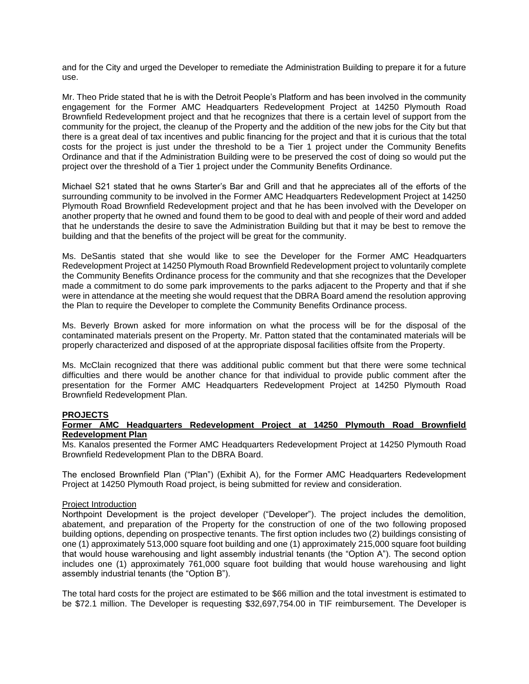and for the City and urged the Developer to remediate the Administration Building to prepare it for a future use.

Mr. Theo Pride stated that he is with the Detroit People's Platform and has been involved in the community engagement for the Former AMC Headquarters Redevelopment Project at 14250 Plymouth Road Brownfield Redevelopment project and that he recognizes that there is a certain level of support from the community for the project, the cleanup of the Property and the addition of the new jobs for the City but that there is a great deal of tax incentives and public financing for the project and that it is curious that the total costs for the project is just under the threshold to be a Tier 1 project under the Community Benefits Ordinance and that if the Administration Building were to be preserved the cost of doing so would put the project over the threshold of a Tier 1 project under the Community Benefits Ordinance.

Michael S21 stated that he owns Starter's Bar and Grill and that he appreciates all of the efforts of the surrounding community to be involved in the Former AMC Headquarters Redevelopment Project at 14250 Plymouth Road Brownfield Redevelopment project and that he has been involved with the Developer on another property that he owned and found them to be good to deal with and people of their word and added that he understands the desire to save the Administration Building but that it may be best to remove the building and that the benefits of the project will be great for the community.

Ms. DeSantis stated that she would like to see the Developer for the Former AMC Headquarters Redevelopment Project at 14250 Plymouth Road Brownfield Redevelopment project to voluntarily complete the Community Benefits Ordinance process for the community and that she recognizes that the Developer made a commitment to do some park improvements to the parks adjacent to the Property and that if she were in attendance at the meeting she would request that the DBRA Board amend the resolution approving the Plan to require the Developer to complete the Community Benefits Ordinance process.

Ms. Beverly Brown asked for more information on what the process will be for the disposal of the contaminated materials present on the Property. Mr. Patton stated that the contaminated materials will be properly characterized and disposed of at the appropriate disposal facilities offsite from the Property.

Ms. McClain recognized that there was additional public comment but that there were some technical difficulties and there would be another chance for that individual to provide public comment after the presentation for the Former AMC Headquarters Redevelopment Project at 14250 Plymouth Road Brownfield Redevelopment Plan.

## **PROJECTS**

# **Former AMC Headquarters Redevelopment Project at 14250 Plymouth Road Brownfield Redevelopment Plan**

Ms. Kanalos presented the Former AMC Headquarters Redevelopment Project at 14250 Plymouth Road Brownfield Redevelopment Plan to the DBRA Board.

The enclosed Brownfield Plan ("Plan") (Exhibit A), for the Former AMC Headquarters Redevelopment Project at 14250 Plymouth Road project, is being submitted for review and consideration.

### Project Introduction

Northpoint Development is the project developer ("Developer"). The project includes the demolition, abatement, and preparation of the Property for the construction of one of the two following proposed building options, depending on prospective tenants. The first option includes two (2) buildings consisting of one (1) approximately 513,000 square foot building and one (1) approximately 215,000 square foot building that would house warehousing and light assembly industrial tenants (the "Option A"). The second option includes one (1) approximately 761,000 square foot building that would house warehousing and light assembly industrial tenants (the "Option B").

The total hard costs for the project are estimated to be \$66 million and the total investment is estimated to be \$72.1 million. The Developer is requesting \$32,697,754.00 in TIF reimbursement. The Developer is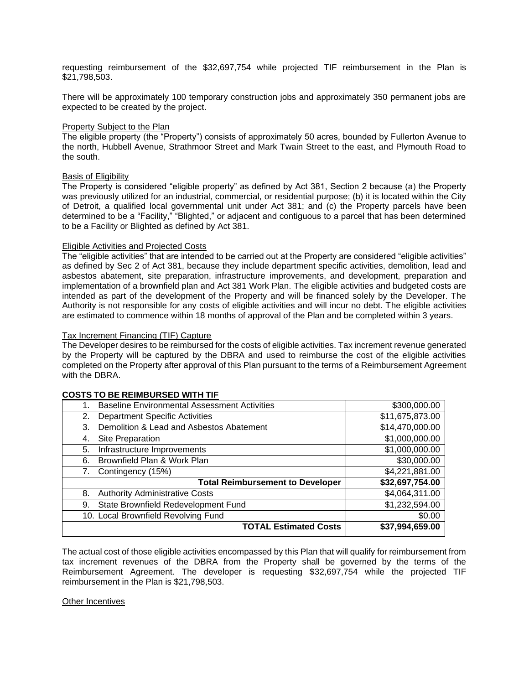requesting reimbursement of the \$32,697,754 while projected TIF reimbursement in the Plan is \$21,798,503.

There will be approximately 100 temporary construction jobs and approximately 350 permanent jobs are expected to be created by the project.

### Property Subject to the Plan

The eligible property (the "Property") consists of approximately 50 acres, bounded by Fullerton Avenue to the north, Hubbell Avenue, Strathmoor Street and Mark Twain Street to the east, and Plymouth Road to the south.

### Basis of Eligibility

The Property is considered "eligible property" as defined by Act 381, Section 2 because (a) the Property was previously utilized for an industrial, commercial, or residential purpose; (b) it is located within the City of Detroit, a qualified local governmental unit under Act 381; and (c) the Property parcels have been determined to be a "Facility," "Blighted," or adjacent and contiguous to a parcel that has been determined to be a Facility or Blighted as defined by Act 381.

### Eligible Activities and Projected Costs

The "eligible activities" that are intended to be carried out at the Property are considered "eligible activities" as defined by Sec 2 of Act 381, because they include department specific activities, demolition, lead and asbestos abatement, site preparation, infrastructure improvements, and development, preparation and implementation of a brownfield plan and Act 381 Work Plan. The eligible activities and budgeted costs are intended as part of the development of the Property and will be financed solely by the Developer. The Authority is not responsible for any costs of eligible activities and will incur no debt. The eligible activities are estimated to commence within 18 months of approval of the Plan and be completed within 3 years.

### Tax Increment Financing (TIF) Capture

The Developer desires to be reimbursed for the costs of eligible activities. Tax increment revenue generated by the Property will be captured by the DBRA and used to reimburse the cost of the eligible activities completed on the Property after approval of this Plan pursuant to the terms of a Reimbursement Agreement with the DBRA.

| O DE INEIMBOINDED WITH TH                                 |                 |
|-----------------------------------------------------------|-----------------|
| <b>Baseline Environmental Assessment Activities</b><br>1. | \$300,000.00    |
| <b>Department Specific Activities</b><br>2.               | \$11,675,873.00 |
| Demolition & Lead and Asbestos Abatement<br>3.            | \$14,470,000.00 |
| Site Preparation<br>4.                                    | \$1,000,000.00  |
| Infrastructure Improvements<br>5.                         | \$1,000,000.00  |
| Brownfield Plan & Work Plan<br>6.                         | \$30,000.00     |
| Contingency (15%)                                         | \$4,221,881.00  |
| <b>Total Reimbursement to Developer</b>                   | \$32,697,754.00 |
| <b>Authority Administrative Costs</b><br>8.               | \$4,064,311.00  |
| State Brownfield Redevelopment Fund<br>9.                 | \$1,232,594.00  |
| 10. Local Brownfield Revolving Fund                       | \$0.00          |
| <b>TOTAL Estimated Costs</b>                              | \$37,994,659.00 |
|                                                           |                 |

# **COSTS TO BE REIMBURSED WITH TIF**

The actual cost of those eligible activities encompassed by this Plan that will qualify for reimbursement from tax increment revenues of the DBRA from the Property shall be governed by the terms of the Reimbursement Agreement. The developer is requesting \$32,697,754 while the projected TIF reimbursement in the Plan is \$21,798,503.

## Other Incentives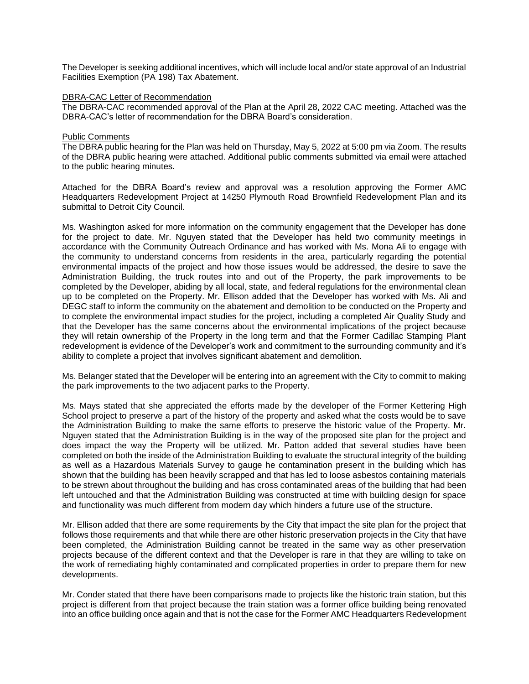The Developer is seeking additional incentives, which will include local and/or state approval of an Industrial Facilities Exemption (PA 198) Tax Abatement.

### DBRA-CAC Letter of Recommendation

The DBRA-CAC recommended approval of the Plan at the April 28, 2022 CAC meeting. Attached was the DBRA-CAC's letter of recommendation for the DBRA Board's consideration.

### Public Comments

The DBRA public hearing for the Plan was held on Thursday, May 5, 2022 at 5:00 pm via Zoom. The results of the DBRA public hearing were attached. Additional public comments submitted via email were attached to the public hearing minutes.

Attached for the DBRA Board's review and approval was a resolution approving the Former AMC Headquarters Redevelopment Project at 14250 Plymouth Road Brownfield Redevelopment Plan and its submittal to Detroit City Council.

Ms. Washington asked for more information on the community engagement that the Developer has done for the project to date. Mr. Nguyen stated that the Developer has held two community meetings in accordance with the Community Outreach Ordinance and has worked with Ms. Mona Ali to engage with the community to understand concerns from residents in the area, particularly regarding the potential environmental impacts of the project and how those issues would be addressed, the desire to save the Administration Building, the truck routes into and out of the Property, the park improvements to be completed by the Developer, abiding by all local, state, and federal regulations for the environmental clean up to be completed on the Property. Mr. Ellison added that the Developer has worked with Ms. Ali and DEGC staff to inform the community on the abatement and demolition to be conducted on the Property and to complete the environmental impact studies for the project, including a completed Air Quality Study and that the Developer has the same concerns about the environmental implications of the project because they will retain ownership of the Property in the long term and that the Former Cadillac Stamping Plant redevelopment is evidence of the Developer's work and commitment to the surrounding community and it's ability to complete a project that involves significant abatement and demolition.

Ms. Belanger stated that the Developer will be entering into an agreement with the City to commit to making the park improvements to the two adjacent parks to the Property.

Ms. Mays stated that she appreciated the efforts made by the developer of the Former Kettering High School project to preserve a part of the history of the property and asked what the costs would be to save the Administration Building to make the same efforts to preserve the historic value of the Property. Mr. Nguyen stated that the Administration Building is in the way of the proposed site plan for the project and does impact the way the Property will be utilized. Mr. Patton added that several studies have been completed on both the inside of the Administration Building to evaluate the structural integrity of the building as well as a Hazardous Materials Survey to gauge he contamination present in the building which has shown that the building has been heavily scrapped and that has led to loose asbestos containing materials to be strewn about throughout the building and has cross contaminated areas of the building that had been left untouched and that the Administration Building was constructed at time with building design for space and functionality was much different from modern day which hinders a future use of the structure.

Mr. Ellison added that there are some requirements by the City that impact the site plan for the project that follows those requirements and that while there are other historic preservation projects in the City that have been completed, the Administration Building cannot be treated in the same way as other preservation projects because of the different context and that the Developer is rare in that they are willing to take on the work of remediating highly contaminated and complicated properties in order to prepare them for new developments.

Mr. Conder stated that there have been comparisons made to projects like the historic train station, but this project is different from that project because the train station was a former office building being renovated into an office building once again and that is not the case for the Former AMC Headquarters Redevelopment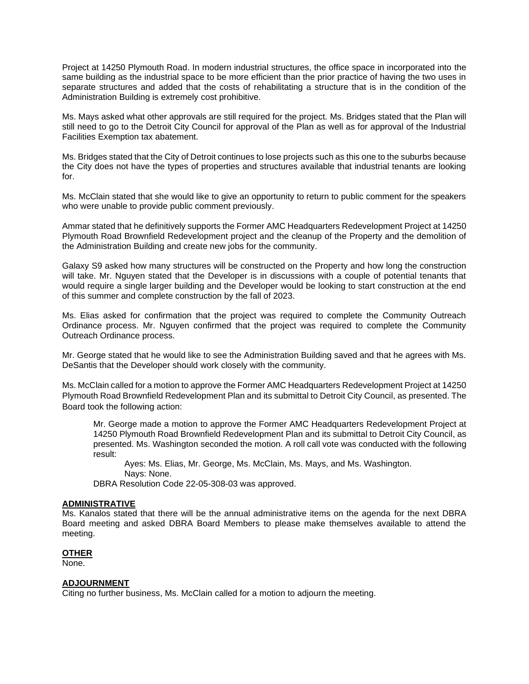Project at 14250 Plymouth Road. In modern industrial structures, the office space in incorporated into the same building as the industrial space to be more efficient than the prior practice of having the two uses in separate structures and added that the costs of rehabilitating a structure that is in the condition of the Administration Building is extremely cost prohibitive.

Ms. Mays asked what other approvals are still required for the project. Ms. Bridges stated that the Plan will still need to go to the Detroit City Council for approval of the Plan as well as for approval of the Industrial Facilities Exemption tax abatement.

Ms. Bridges stated that the City of Detroit continues to lose projects such as this one to the suburbs because the City does not have the types of properties and structures available that industrial tenants are looking for.

Ms. McClain stated that she would like to give an opportunity to return to public comment for the speakers who were unable to provide public comment previously.

Ammar stated that he definitively supports the Former AMC Headquarters Redevelopment Project at 14250 Plymouth Road Brownfield Redevelopment project and the cleanup of the Property and the demolition of the Administration Building and create new jobs for the community.

Galaxy S9 asked how many structures will be constructed on the Property and how long the construction will take. Mr. Nguyen stated that the Developer is in discussions with a couple of potential tenants that would require a single larger building and the Developer would be looking to start construction at the end of this summer and complete construction by the fall of 2023.

Ms. Elias asked for confirmation that the project was required to complete the Community Outreach Ordinance process. Mr. Nguyen confirmed that the project was required to complete the Community Outreach Ordinance process.

Mr. George stated that he would like to see the Administration Building saved and that he agrees with Ms. DeSantis that the Developer should work closely with the community.

Ms. McClain called for a motion to approve the Former AMC Headquarters Redevelopment Project at 14250 Plymouth Road Brownfield Redevelopment Plan and its submittal to Detroit City Council, as presented. The Board took the following action:

Mr. George made a motion to approve the Former AMC Headquarters Redevelopment Project at 14250 Plymouth Road Brownfield Redevelopment Plan and its submittal to Detroit City Council, as presented. Ms. Washington seconded the motion. A roll call vote was conducted with the following result:

Ayes: Ms. Elias, Mr. George, Ms. McClain, Ms. Mays, and Ms. Washington. Nays: None.

DBRA Resolution Code 22-05-308-03 was approved.

## **ADMINISTRATIVE**

Ms. Kanalos stated that there will be the annual administrative items on the agenda for the next DBRA Board meeting and asked DBRA Board Members to please make themselves available to attend the meeting.

## **OTHER**

None.

### **ADJOURNMENT**

Citing no further business, Ms. McClain called for a motion to adjourn the meeting.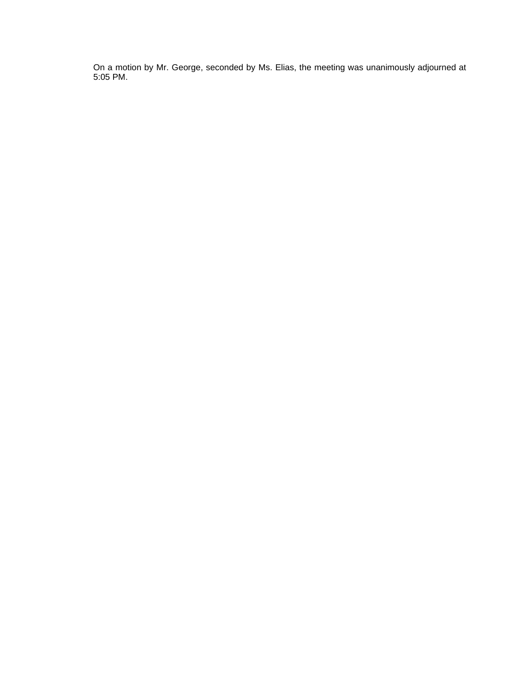On a motion by Mr. George, seconded by Ms. Elias, the meeting was unanimously adjourned at 5:05 PM.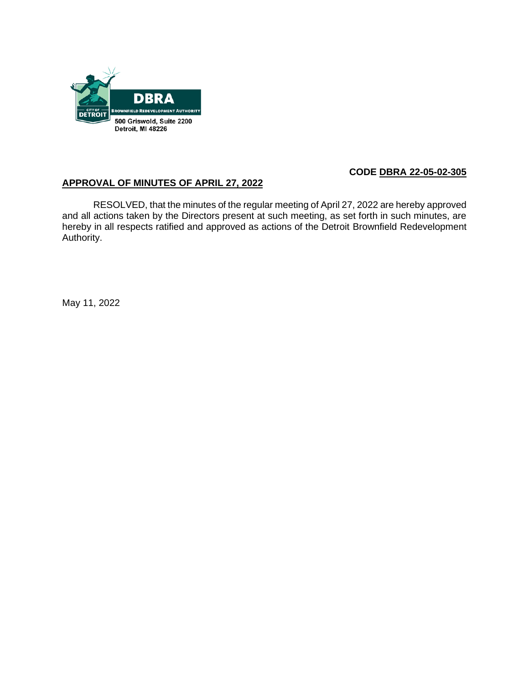

# **CODE DBRA 22-05-02-305**

# **APPROVAL OF MINUTES OF APRIL 27, 2022**

RESOLVED, that the minutes of the regular meeting of April 27, 2022 are hereby approved and all actions taken by the Directors present at such meeting, as set forth in such minutes, are hereby in all respects ratified and approved as actions of the Detroit Brownfield Redevelopment Authority.

May 11, 2022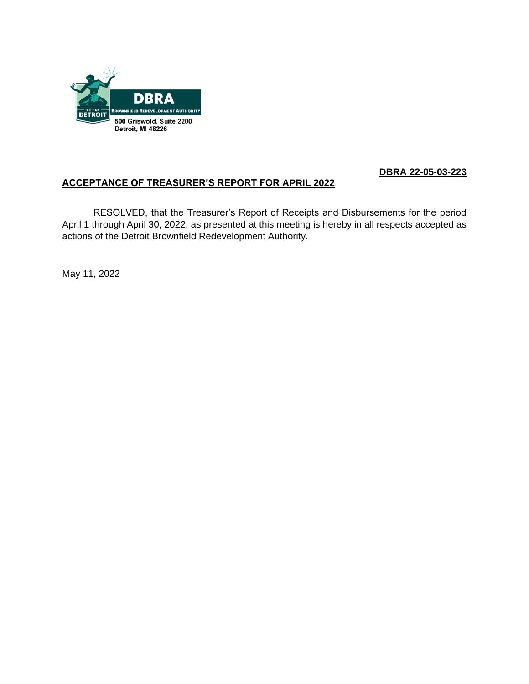

# **DBRA 22-05-03-223**

# **ACCEPTANCE OF TREASURER'S REPORT FOR APRIL 2022**

RESOLVED, that the Treasurer's Report of Receipts and Disbursements for the period April 1 through April 30, 2022, as presented at this meeting is hereby in all respects accepted as actions of the Detroit Brownfield Redevelopment Authority.

May 11, 2022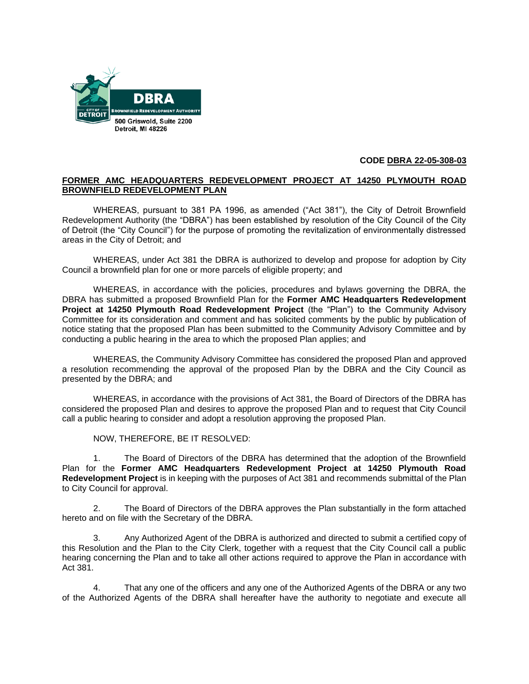

# **CODE DBRA 22-05-308-03**

# **FORMER AMC HEADQUARTERS REDEVELOPMENT PROJECT AT 14250 PLYMOUTH ROAD BROWNFIELD REDEVELOPMENT PLAN**

WHEREAS, pursuant to 381 PA 1996, as amended ("Act 381"), the City of Detroit Brownfield Redevelopment Authority (the "DBRA") has been established by resolution of the City Council of the City of Detroit (the "City Council") for the purpose of promoting the revitalization of environmentally distressed areas in the City of Detroit; and

WHEREAS, under Act 381 the DBRA is authorized to develop and propose for adoption by City Council a brownfield plan for one or more parcels of eligible property; and

WHEREAS, in accordance with the policies, procedures and bylaws governing the DBRA, the DBRA has submitted a proposed Brownfield Plan for the **Former AMC Headquarters Redevelopment Project at 14250 Plymouth Road Redevelopment Project** (the "Plan") to the Community Advisory Committee for its consideration and comment and has solicited comments by the public by publication of notice stating that the proposed Plan has been submitted to the Community Advisory Committee and by conducting a public hearing in the area to which the proposed Plan applies; and

WHEREAS, the Community Advisory Committee has considered the proposed Plan and approved a resolution recommending the approval of the proposed Plan by the DBRA and the City Council as presented by the DBRA; and

WHEREAS, in accordance with the provisions of Act 381, the Board of Directors of the DBRA has considered the proposed Plan and desires to approve the proposed Plan and to request that City Council call a public hearing to consider and adopt a resolution approving the proposed Plan.

NOW, THEREFORE, BE IT RESOLVED:

1. The Board of Directors of the DBRA has determined that the adoption of the Brownfield Plan for the **Former AMC Headquarters Redevelopment Project at 14250 Plymouth Road Redevelopment Project** is in keeping with the purposes of Act 381 and recommends submittal of the Plan to City Council for approval.

2. The Board of Directors of the DBRA approves the Plan substantially in the form attached hereto and on file with the Secretary of the DBRA.

3. Any Authorized Agent of the DBRA is authorized and directed to submit a certified copy of this Resolution and the Plan to the City Clerk, together with a request that the City Council call a public hearing concerning the Plan and to take all other actions required to approve the Plan in accordance with Act 381.

4. That any one of the officers and any one of the Authorized Agents of the DBRA or any two of the Authorized Agents of the DBRA shall hereafter have the authority to negotiate and execute all